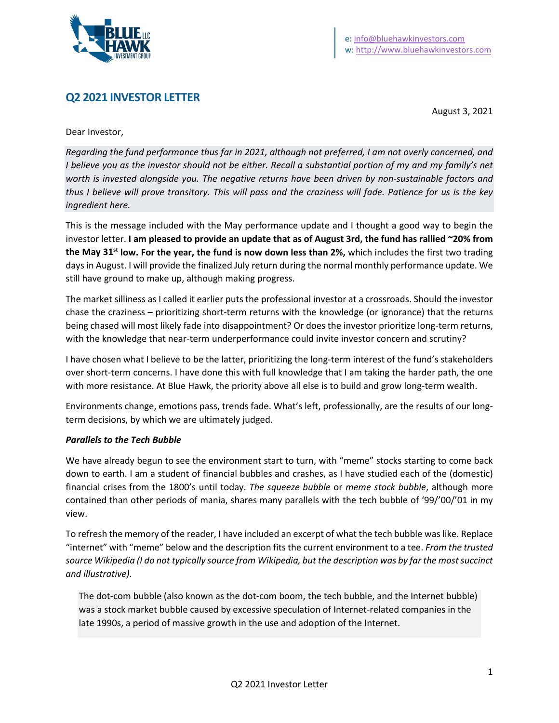

# **Q2 2021 INVESTOR LETTER**

August 3, 2021

Dear Investor,

*Regarding the fund performance thus far in 2021, although not preferred, I am not overly concerned, and I believe you as the investor should not be either. Recall a substantial portion of my and my family's net worth is invested alongside you. The negative returns have been driven by non-sustainable factors and thus I believe will prove transitory. This will pass and the craziness will fade. Patience for us is the key ingredient here.*

This is the message included with the May performance update and I thought a good way to begin the investor letter. **I am pleased to provide an update that as of August 3rd, the fund has rallied ~20% from the May 31st low. For the year, the fund is now down less than 2%,** which includes the first two trading days in August. I will provide the finalized July return during the normal monthly performance update. We still have ground to make up, although making progress.

The market silliness as I called it earlier puts the professional investor at a crossroads. Should the investor chase the craziness – prioritizing short-term returns with the knowledge (or ignorance) that the returns being chased will most likely fade into disappointment? Or does the investor prioritize long-term returns, with the knowledge that near-term underperformance could invite investor concern and scrutiny?

I have chosen what I believe to be the latter, prioritizing the long-term interest of the fund's stakeholders over short-term concerns. I have done this with full knowledge that I am taking the harder path, the one with more resistance. At Blue Hawk, the priority above all else is to build and grow long-term wealth.

Environments change, emotions pass, trends fade. What's left, professionally, are the results of our longterm decisions, by which we are ultimately judged.

#### *Parallels to the Tech Bubble*

We have already begun to see the environment start to turn, with "meme" stocks starting to come back down to earth. I am a student of financial bubbles and crashes, as I have studied each of the (domestic) financial crises from the 1800's until today. *The squeeze bubble* or *meme stock bubble*, although more contained than other periods of mania, shares many parallels with the tech bubble of '99/'00/'01 in my view.

To refresh the memory of the reader, I have included an excerpt of what the tech bubble was like. Replace "internet" with "meme" below and the description fits the current environment to a tee. *From the trusted source Wikipedia (I do not typically source from Wikipedia, but the description was by far the most succinct and illustrative).*

The dot-com bubble (also known as the dot-com boom, the tech bubble, and the Internet bubble) was a stock market bubble caused by excessive speculation of Internet-related companies in the late 1990s, a period of massive growth in the use and adoption of the Internet.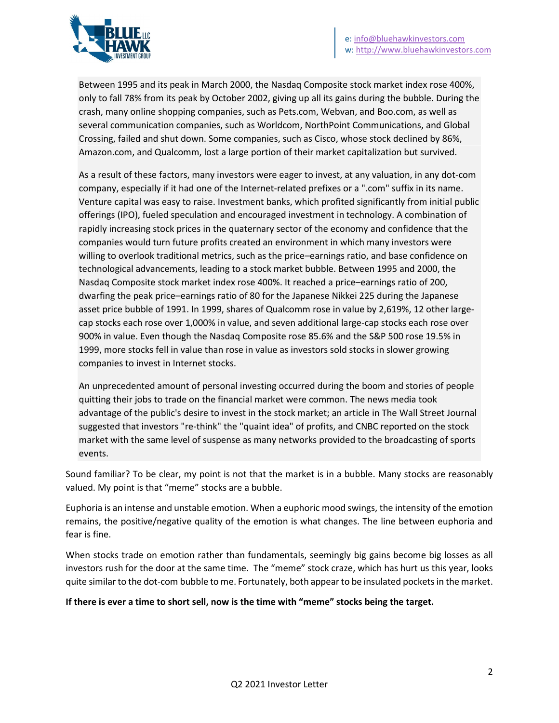

Between 1995 and its peak in March 2000, the Nasdaq Composite stock market index rose 400%, only to fall 78% from its peak by October 2002, giving up all its gains during the bubble. During the crash, many online shopping companies, such as Pets.com, Webvan, and Boo.com, as well as several communication companies, such as Worldcom, NorthPoint Communications, and Global Crossing, failed and shut down. Some companies, such as Cisco, whose stock declined by 86%, Amazon.com, and Qualcomm, lost a large portion of their market capitalization but survived.

As a result of these factors, many investors were eager to invest, at any valuation, in any dot-com company, especially if it had one of the Internet-related prefixes or a ".com" suffix in its name. Venture capital was easy to raise. Investment banks, which profited significantly from initial public offerings (IPO), fueled speculation and encouraged investment in technology. A combination of rapidly increasing stock prices in the quaternary sector of the economy and confidence that the companies would turn future profits created an environment in which many investors were willing to overlook traditional metrics, such as the price–earnings ratio, and base confidence on technological advancements, leading to a stock market bubble. Between 1995 and 2000, the Nasdaq Composite stock market index rose 400%. It reached a price–earnings ratio of 200, dwarfing the peak price–earnings ratio of 80 for the Japanese Nikkei 225 during the Japanese asset price bubble of 1991. In 1999, shares of Qualcomm rose in value by 2,619%, 12 other largecap stocks each rose over 1,000% in value, and seven additional large-cap stocks each rose over 900% in value. Even though the Nasdaq Composite rose 85.6% and the S&P 500 rose 19.5% in 1999, more stocks fell in value than rose in value as investors sold stocks in slower growing companies to invest in Internet stocks.

An unprecedented amount of personal investing occurred during the boom and stories of people quitting their jobs to trade on the financial market were common. The news media took advantage of the public's desire to invest in the stock market; an article in The Wall Street Journal suggested that investors "re-think" the "quaint idea" of profits, and CNBC reported on the stock market with the same level of suspense as many networks provided to the broadcasting of sports events.

Sound familiar? To be clear, my point is not that the market is in a bubble. Many stocks are reasonably valued. My point is that "meme" stocks are a bubble.

Euphoria is an intense and unstable emotion. When a euphoric mood swings, the intensity of the emotion remains, the positive/negative quality of the emotion is what changes. The line between euphoria and fear is fine.

When stocks trade on emotion rather than fundamentals, seemingly big gains become big losses as all investors rush for the door at the same time. The "meme" stock craze, which has hurt us this year, looks quite similar to the dot-com bubble to me. Fortunately, both appear to be insulated pockets in the market.

#### **If there is ever a time to short sell, now is the time with "meme" stocks being the target.**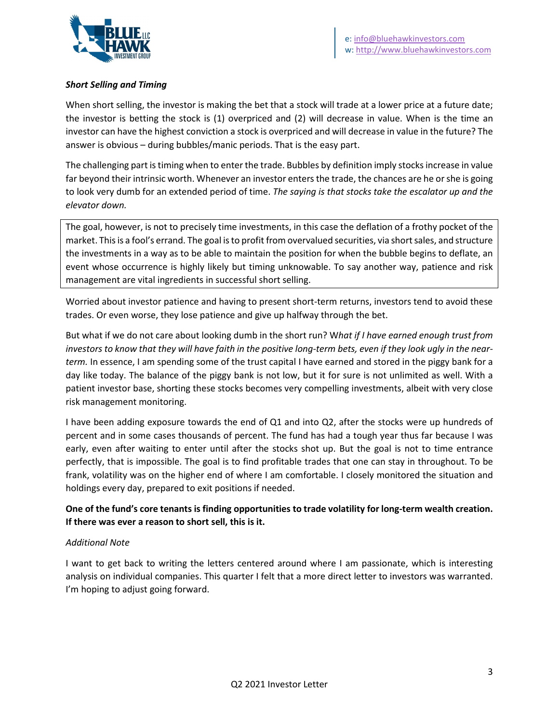

## *Short Selling and Timing*

When short selling, the investor is making the bet that a stock will trade at a lower price at a future date; the investor is betting the stock is (1) overpriced and (2) will decrease in value. When is the time an investor can have the highest conviction a stock is overpriced and will decrease in value in the future? The answer is obvious – during bubbles/manic periods. That is the easy part.

The challenging part is timing when to enter the trade. Bubbles by definition imply stocks increase in value far beyond their intrinsic worth. Whenever an investor enters the trade, the chances are he or she is going to look very dumb for an extended period of time. *The saying is that stocks take the escalator up and the elevator down.* 

The goal, however, is not to precisely time investments, in this case the deflation of a frothy pocket of the market. This is a fool's errand. The goal is to profit from overvalued securities, via short sales, and structure the investments in a way as to be able to maintain the position for when the bubble begins to deflate, an event whose occurrence is highly likely but timing unknowable. To say another way, patience and risk management are vital ingredients in successful short selling.

Worried about investor patience and having to present short-term returns, investors tend to avoid these trades. Or even worse, they lose patience and give up halfway through the bet.

But what if we do not care about looking dumb in the short run? W*hat if I have earned enough trust from investors to know that they will have faith in the positive long-term bets, even if they look ugly in the nearterm.* In essence, I am spending some of the trust capital I have earned and stored in the piggy bank for a day like today. The balance of the piggy bank is not low, but it for sure is not unlimited as well. With a patient investor base, shorting these stocks becomes very compelling investments, albeit with very close risk management monitoring.

I have been adding exposure towards the end of Q1 and into Q2, after the stocks were up hundreds of percent and in some cases thousands of percent. The fund has had a tough year thus far because I was early, even after waiting to enter until after the stocks shot up. But the goal is not to time entrance perfectly, that is impossible. The goal is to find profitable trades that one can stay in throughout. To be frank, volatility was on the higher end of where I am comfortable. I closely monitored the situation and holdings every day, prepared to exit positions if needed.

## **One of the fund's core tenants is finding opportunities to trade volatility for long-term wealth creation. If there was ever a reason to short sell, this is it.**

### *Additional Note*

I want to get back to writing the letters centered around where I am passionate, which is interesting analysis on individual companies. This quarter I felt that a more direct letter to investors was warranted. I'm hoping to adjust going forward.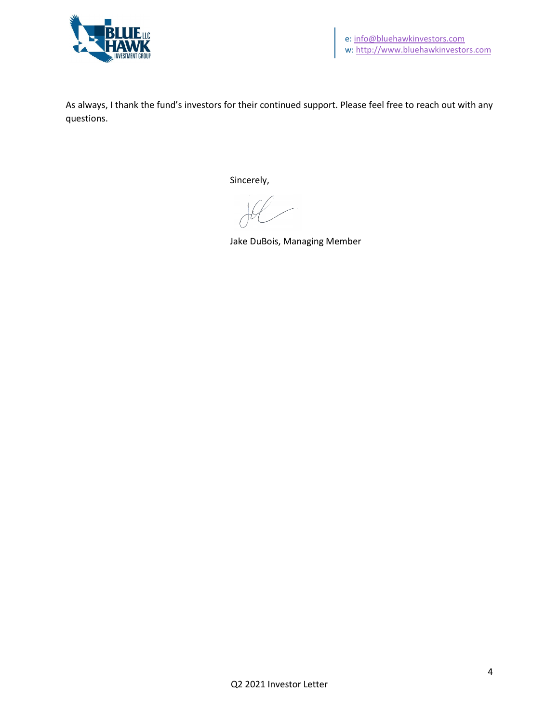

As always, I thank the fund's investors for their continued support. Please feel free to reach out with any questions.

Sincerely,

Jake DuBois, Managing Member